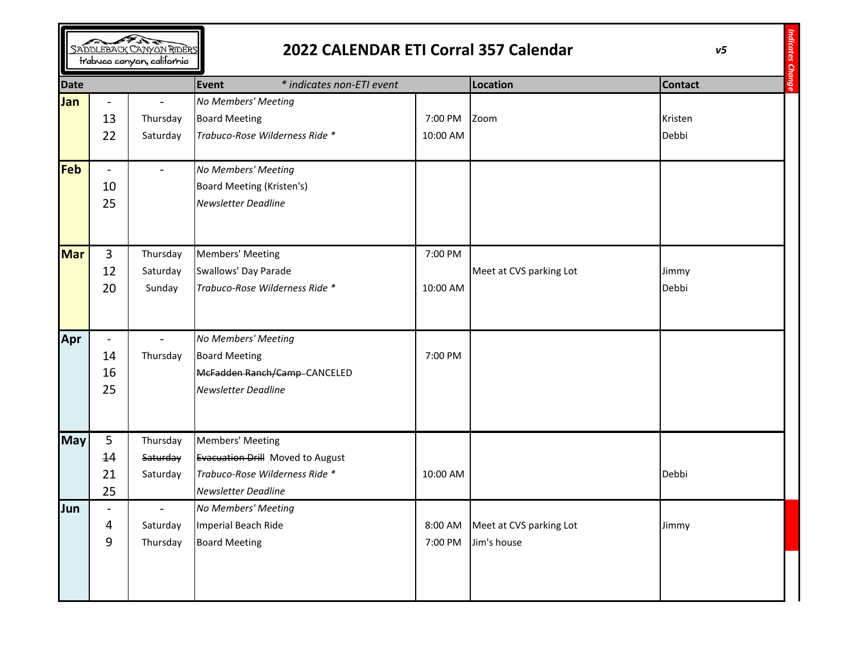| SADDLEBACK CANYON RIDERS<br>trabuco canyon, california |                                            |                                  | 2022 CALENDAR ETI Corral 357 Calendar                                                                                       |                     |                                        | v <sub>5</sub>   |  |
|--------------------------------------------------------|--------------------------------------------|----------------------------------|-----------------------------------------------------------------------------------------------------------------------------|---------------------|----------------------------------------|------------------|--|
| <b>Date</b>                                            |                                            |                                  | <b>Event</b><br>* indicates non-ETI event                                                                                   |                     | <b>Location</b>                        | <b>Contact</b>   |  |
| Jan                                                    | $\overline{\phantom{a}}$<br>13<br>22       | Thursday<br>Saturday             | No Members' Meeting<br><b>Board Meeting</b><br>Trabuco-Rose Wilderness Ride *                                               | 7:00 PM<br>10:00 AM | Zoom                                   | Kristen<br>Debbi |  |
| Feb                                                    | $\overline{\phantom{a}}$<br>10<br>25       |                                  | No Members' Meeting<br>Board Meeting (Kristen's)<br><b>Newsletter Deadline</b>                                              |                     |                                        |                  |  |
| <b>Mar</b>                                             | 3<br>12<br>20                              | Thursday<br>Saturday<br>Sunday   | Members' Meeting<br>Swallows' Day Parade<br>Trabuco-Rose Wilderness Ride *                                                  | 7:00 PM<br>10:00 AM | Meet at CVS parking Lot                | Jimmy<br>Debbi   |  |
| Apr                                                    | $\overline{\phantom{a}}$<br>14<br>16<br>25 | Thursday                         | No Members' Meeting<br><b>Board Meeting</b><br>McFadden Ranch/Camp-CANCELED<br><b>Newsletter Deadline</b>                   | 7:00 PM             |                                        |                  |  |
| <b>May</b>                                             | 5<br>14<br>21<br>25                        | Thursday<br>Saturday<br>Saturday | <b>Members' Meeting</b><br>Evacuation Drill Moved to August<br>Trabuco-Rose Wilderness Ride *<br><b>Newsletter Deadline</b> | 10:00 AM            |                                        | Debbi            |  |
| Jun                                                    | 4<br>9                                     | Saturday<br>Thursday             | No Members' Meeting<br>Imperial Beach Ride<br><b>Board Meeting</b>                                                          | 8:00 AM<br>7:00 PM  | Meet at CVS parking Lot<br>Jim's house | Jimmy            |  |

 $\sqrt{2}$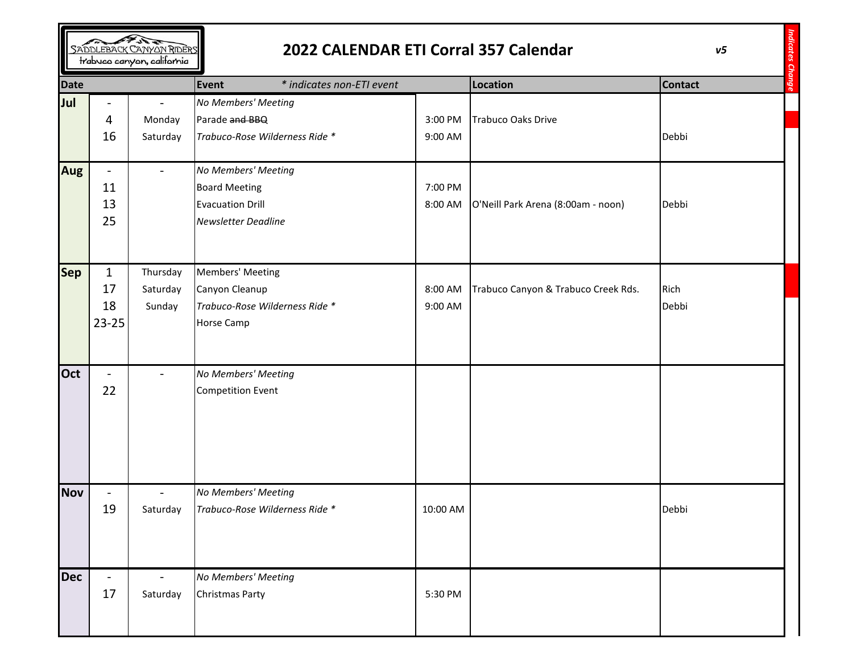| SADDLEBACK CANYON RIDERS<br>trabuco canyon, california |                                            |                                | 2022 CALENDAR ETI Corral 357 Calendar                                                                | v <sub>5</sub>            |                                     |                |  |
|--------------------------------------------------------|--------------------------------------------|--------------------------------|------------------------------------------------------------------------------------------------------|---------------------------|-------------------------------------|----------------|--|
| <b>Date</b>                                            |                                            |                                | <b>Event</b>                                                                                         | * indicates non-ETI event |                                     | <b>Contact</b> |  |
| Jul                                                    | -<br>4<br>16                               | Monday<br>Saturday             | No Members' Meeting<br>Parade and BBQ<br>Trabuco-Rose Wilderness Ride *                              | 3:00 PM<br>9:00 AM        | <b>Trabuco Oaks Drive</b>           | Debbi          |  |
| <b>Aug</b>                                             | $\overline{\phantom{a}}$<br>11<br>13<br>25 |                                | No Members' Meeting<br><b>Board Meeting</b><br><b>Evacuation Drill</b><br><b>Newsletter Deadline</b> | 7:00 PM<br>8:00 AM        | O'Neill Park Arena (8:00am - noon)  | Debbi          |  |
| <b>Sep</b>                                             | $\mathbf{1}$<br>17<br>18<br>23-25          | Thursday<br>Saturday<br>Sunday | Members' Meeting<br>Canyon Cleanup<br>Trabuco-Rose Wilderness Ride *<br><b>Horse Camp</b>            | 8:00 AM<br>9:00 AM        | Trabuco Canyon & Trabuco Creek Rds. | Rich<br>Debbi  |  |
| Oct                                                    | $\overline{\phantom{a}}$<br>22             |                                | No Members' Meeting<br><b>Competition Event</b>                                                      |                           |                                     |                |  |
| <b>Nov</b>                                             | 19                                         | Saturday                       | No Members' Meeting<br>Trabuco-Rose Wilderness Ride *                                                | 10:00 AM                  |                                     | Debbi          |  |
| <b>Dec</b>                                             | $\overline{\phantom{a}}$<br>17             | Saturday                       | No Members' Meeting<br><b>Christmas Party</b>                                                        | 5:30 PM                   |                                     |                |  |